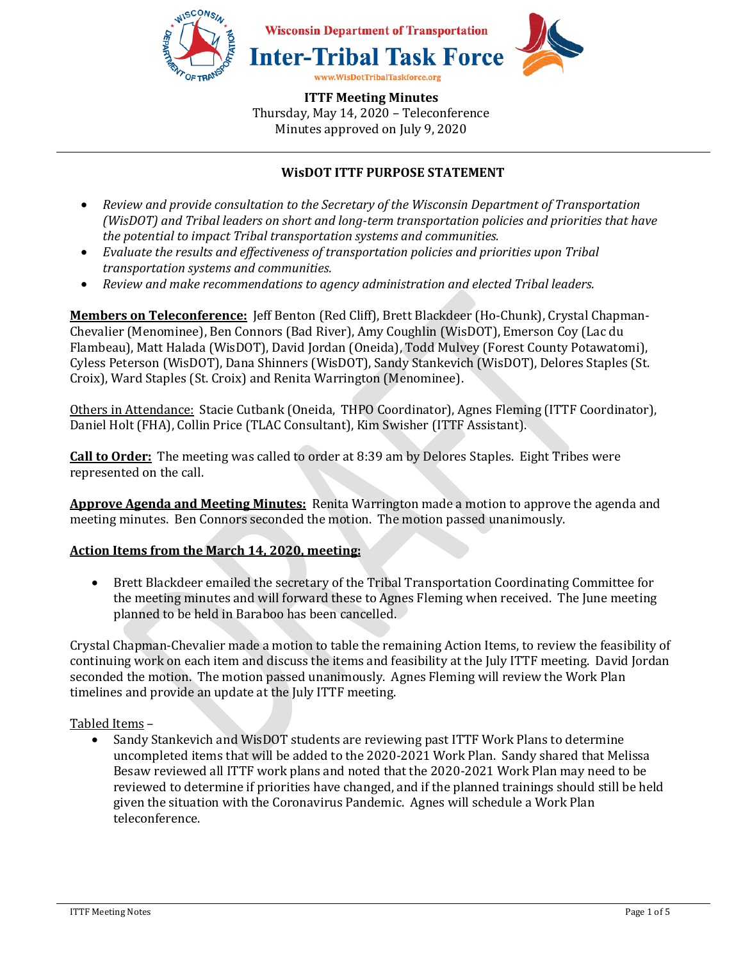

# **WisDOT ITTF PURPOSE STATEMENT**

- *Review and provide consultation to the Secretary of the Wisconsin Department of Transportation (WisDOT) and Tribal leaders on short and long-term transportation policies and priorities that have the potential to impact Tribal transportation systems and communities.*
- *Evaluate the results and effectiveness of transportation policies and priorities upon Tribal transportation systems and communities.*
- *Review and make recommendations to agency administration and elected Tribal leaders.*

**Members on Teleconference:** Jeff Benton (Red Cliff), Brett Blackdeer (Ho-Chunk), Crystal Chapman-Chevalier (Menominee), Ben Connors (Bad River), Amy Coughlin (WisDOT), Emerson Coy (Lac du Flambeau), Matt Halada (WisDOT), David Jordan (Oneida), Todd Mulvey (Forest County Potawatomi), Cyless Peterson (WisDOT), Dana Shinners (WisDOT), Sandy Stankevich (WisDOT), Delores Staples (St. Croix), Ward Staples (St. Croix) and Renita Warrington (Menominee).

Others in Attendance: Stacie Cutbank (Oneida, THPO Coordinator), Agnes Fleming (ITTF Coordinator), Daniel Holt (FHA), Collin Price (TLAC Consultant), Kim Swisher (ITTF Assistant).

**Call to Order:** The meeting was called to order at 8:39 am by Delores Staples. Eight Tribes were represented on the call.

**Approve Agenda and Meeting Minutes:** Renita Warrington made a motion to approve the agenda and meeting minutes. Ben Connors seconded the motion. The motion passed unanimously.

### **Action Items from the March 14, 2020, meeting:**

• Brett Blackdeer emailed the secretary of the Tribal Transportation Coordinating Committee for the meeting minutes and will forward these to Agnes Fleming when received. The June meeting planned to be held in Baraboo has been cancelled.

Crystal Chapman-Chevalier made a motion to table the remaining Action Items, to review the feasibility of continuing work on each item and discuss the items and feasibility at the July ITTF meeting. David Jordan seconded the motion. The motion passed unanimously. Agnes Fleming will review the Work Plan timelines and provide an update at the July ITTF meeting.

Tabled Items –

• Sandy Stankevich and WisDOT students are reviewing past ITTF Work Plans to determine uncompleted items that will be added to the 2020-2021 Work Plan. Sandy shared that Melissa Besaw reviewed all ITTF work plans and noted that the 2020-2021 Work Plan may need to be reviewed to determine if priorities have changed, and if the planned trainings should still be held given the situation with the Coronavirus Pandemic. Agnes will schedule a Work Plan teleconference.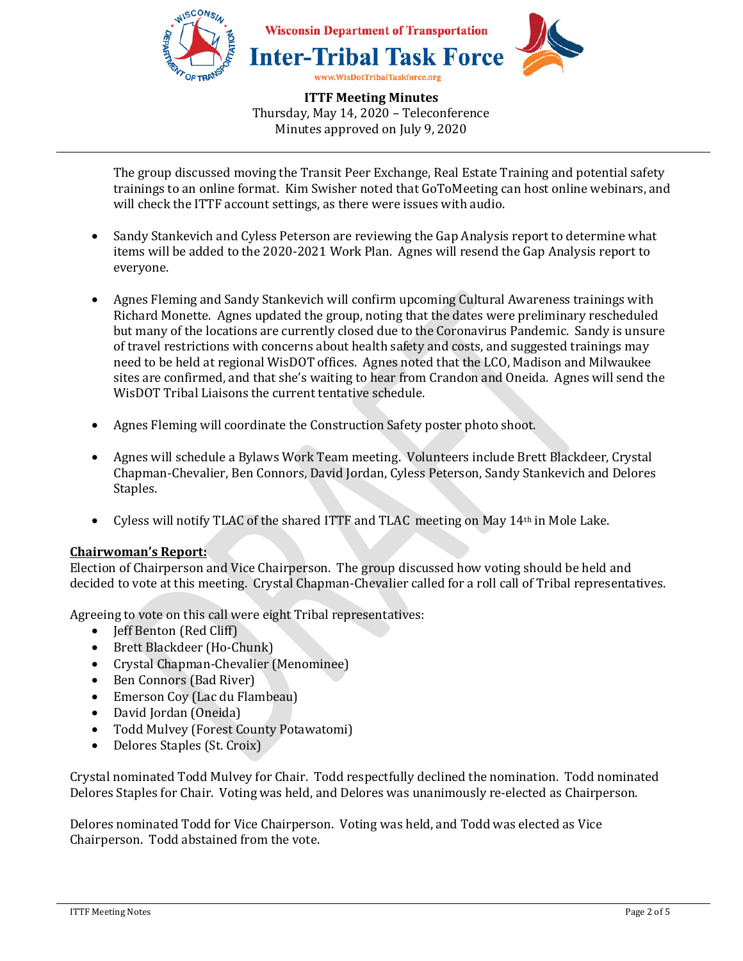

The group discussed moving the Transit Peer Exchange, Real Estate Training and potential safety trainings to an online format. Kim Swisher noted that GoToMeeting can host online webinars, and will check the ITTF account settings, as there were issues with audio.

- Sandy Stankevich and Cyless Peterson are reviewing the Gap Analysis report to determine what items will be added to the 2020-2021 Work Plan. Agnes will resend the Gap Analysis report to everyone.
- Agnes Fleming and Sandy Stankevich will confirm upcoming Cultural Awareness trainings with Richard Monette. Agnes updated the group, noting that the dates were preliminary rescheduled but many of the locations are currently closed due to the Coronavirus Pandemic. Sandy is unsure of travel restrictions with concerns about health safety and costs, and suggested trainings may need to be held at regional WisDOT offices. Agnes noted that the LCO, Madison and Milwaukee sites are confirmed, and that she's waiting to hear from Crandon and Oneida. Agnes will send the WisDOT Tribal Liaisons the current tentative schedule.
- Agnes Fleming will coordinate the Construction Safety poster photo shoot.
- Agnes will schedule a Bylaws Work Team meeting. Volunteers include Brett Blackdeer, Crystal Chapman-Chevalier, Ben Connors, David Jordan, Cyless Peterson, Sandy Stankevich and Delores Staples.
- Cyless will notify TLAC of the shared ITTF and TLAC meeting on May 14th in Mole Lake.

### **Chairwoman's Report:**

Election of Chairperson and Vice Chairperson. The group discussed how voting should be held and decided to vote at this meeting. Crystal Chapman-Chevalier called for a roll call of Tribal representatives.

Agreeing to vote on this call were eight Tribal representatives:

- **Jeff Benton (Red Cliff)**
- Brett Blackdeer (Ho-Chunk)
- Crystal Chapman-Chevalier (Menominee)
- Ben Connors (Bad River)
- Emerson Coy (Lac du Flambeau)
- David Jordan (Oneida)
- Todd Mulvey (Forest County Potawatomi)
- Delores Staples (St. Croix)

Crystal nominated Todd Mulvey for Chair. Todd respectfully declined the nomination. Todd nominated Delores Staples for Chair. Voting was held, and Delores was unanimously re-elected as Chairperson.

Delores nominated Todd for Vice Chairperson. Voting was held, and Todd was elected as Vice Chairperson. Todd abstained from the vote.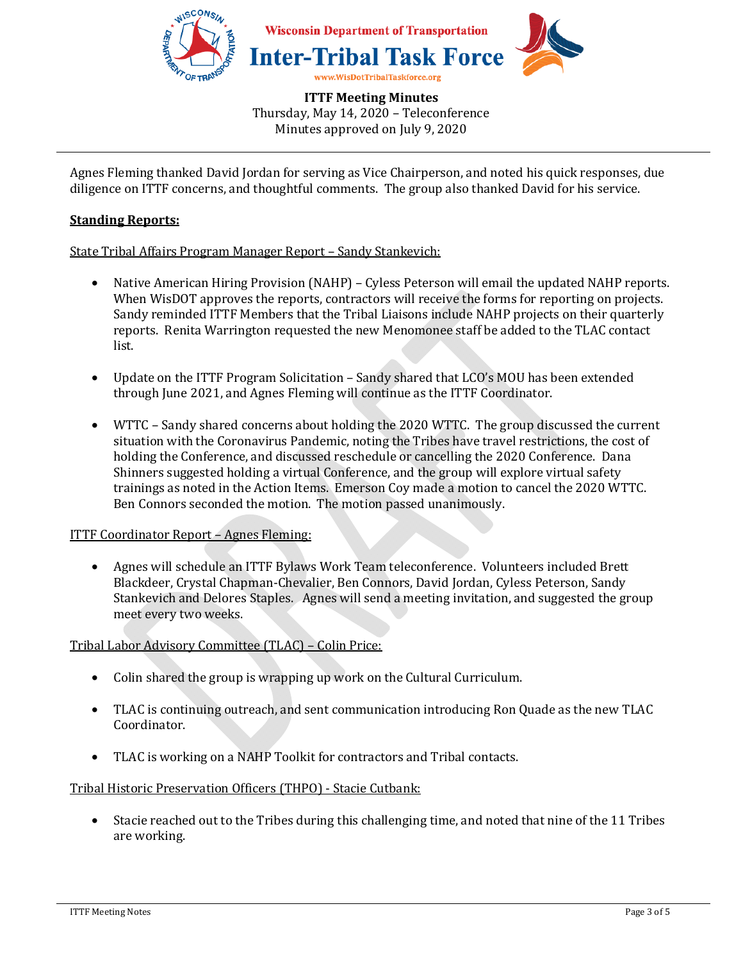

Agnes Fleming thanked David Jordan for serving as Vice Chairperson, and noted his quick responses, due diligence on ITTF concerns, and thoughtful comments. The group also thanked David for his service.

## **Standing Reports:**

State Tribal Affairs Program Manager Report – Sandy Stankevich:

- Native American Hiring Provision (NAHP) Cyless Peterson will email the updated NAHP reports. When WisDOT approves the reports, contractors will receive the forms for reporting on projects. Sandy reminded ITTF Members that the Tribal Liaisons include NAHP projects on their quarterly reports. Renita Warrington requested the new Menomonee staff be added to the TLAC contact list.
- Update on the ITTF Program Solicitation Sandy shared that LCO's MOU has been extended through June 2021, and Agnes Fleming will continue as the ITTF Coordinator.
- WTTC Sandy shared concerns about holding the 2020 WTTC. The group discussed the current situation with the Coronavirus Pandemic, noting the Tribes have travel restrictions, the cost of holding the Conference, and discussed reschedule or cancelling the 2020 Conference. Dana Shinners suggested holding a virtual Conference, and the group will explore virtual safety trainings as noted in the Action Items. Emerson Coy made a motion to cancel the 2020 WTTC. Ben Connors seconded the motion. The motion passed unanimously.

### ITTF Coordinator Report – Agnes Fleming:

• Agnes will schedule an ITTF Bylaws Work Team teleconference. Volunteers included Brett Blackdeer, Crystal Chapman-Chevalier, Ben Connors, David Jordan, Cyless Peterson, Sandy Stankevich and Delores Staples. Agnes will send a meeting invitation, and suggested the group meet every two weeks.

### Tribal Labor Advisory Committee (TLAC) – Colin Price:

- Colin shared the group is wrapping up work on the Cultural Curriculum.
- TLAC is continuing outreach, and sent communication introducing Ron Quade as the new TLAC Coordinator.
- TLAC is working on a NAHP Toolkit for contractors and Tribal contacts.

### Tribal Historic Preservation Officers (THPO) - Stacie Cutbank:

• Stacie reached out to the Tribes during this challenging time, and noted that nine of the 11 Tribes are working.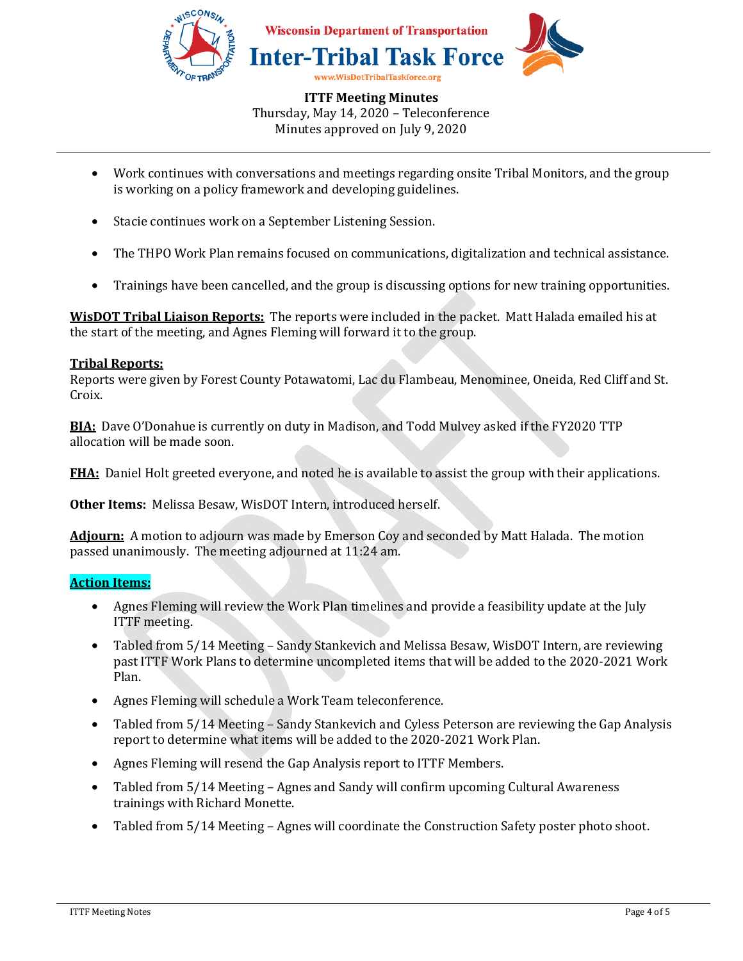

- Work continues with conversations and meetings regarding onsite Tribal Monitors, and the group is working on a policy framework and developing guidelines.
- Stacie continues work on a September Listening Session.
- The THPO Work Plan remains focused on communications, digitalization and technical assistance.
- Trainings have been cancelled, and the group is discussing options for new training opportunities.

**WisDOT Tribal Liaison Reports:** The reports were included in the packet. Matt Halada emailed his at the start of the meeting, and Agnes Fleming will forward it to the group.

#### **Tribal Reports:**

Reports were given by Forest County Potawatomi, Lac du Flambeau, Menominee, Oneida, Red Cliff and St. Croix.

**BIA:** Dave O'Donahue is currently on duty in Madison, and Todd Mulvey asked if the FY2020 TTP allocation will be made soon.

**FHA:** Daniel Holt greeted everyone, and noted he is available to assist the group with their applications.

**Other Items:** Melissa Besaw, WisDOT Intern, introduced herself.

**Adjourn:** A motion to adjourn was made by Emerson Coy and seconded by Matt Halada. The motion passed unanimously. The meeting adjourned at 11:24 am.

#### **Action Items:**

- Agnes Fleming will review the Work Plan timelines and provide a feasibility update at the July ITTF meeting.
- Tabled from 5/14 Meeting Sandy Stankevich and Melissa Besaw, WisDOT Intern, are reviewing past ITTF Work Plans to determine uncompleted items that will be added to the 2020-2021 Work Plan.
- Agnes Fleming will schedule a Work Team teleconference.
- Tabled from 5/14 Meeting Sandy Stankevich and Cyless Peterson are reviewing the Gap Analysis report to determine what items will be added to the 2020-2021 Work Plan.
- Agnes Fleming will resend the Gap Analysis report to ITTF Members.
- Tabled from 5/14 Meeting Agnes and Sandy will confirm upcoming Cultural Awareness trainings with Richard Monette.
- Tabled from 5/14 Meeting Agnes will coordinate the Construction Safety poster photo shoot.